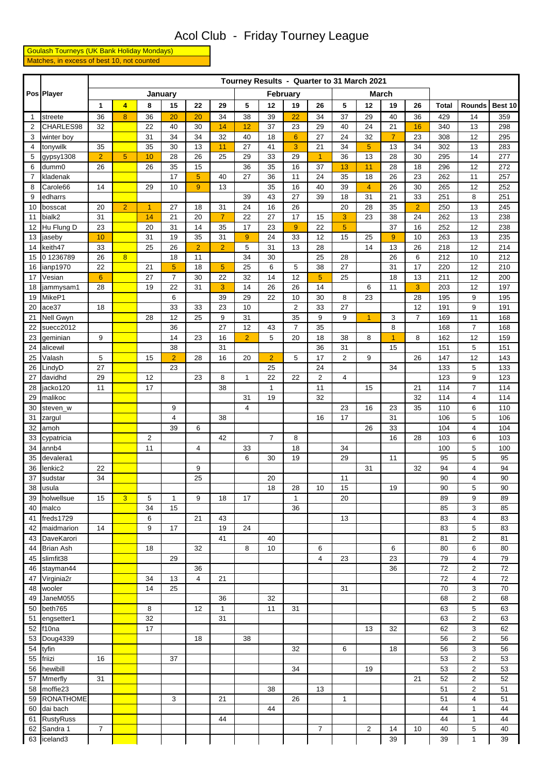## Acol Club - Friday Tourney League

 Goulash Tourneys (UK Bank Holiday Mondays) Matches, in excess of best 10, not counted

|              | Pos Player         |                 |                |                         |                |                |                |                |                |                | Tourney Results - Quarter to 31 March 2021 |                |                |                 |                |              |                         |            |
|--------------|--------------------|-----------------|----------------|-------------------------|----------------|----------------|----------------|----------------|----------------|----------------|--------------------------------------------|----------------|----------------|-----------------|----------------|--------------|-------------------------|------------|
|              |                    |                 |                |                         | January        |                |                |                |                | February       |                                            |                |                | <b>March</b>    |                |              |                         |            |
|              |                    | $\mathbf{1}$    | $\overline{4}$ | 8                       | 15             | 22             | 29             | 5              | 12             | 19             | 26                                         | 5              | 12             | 19              | 26             | <b>Total</b> | Rounds                  | Best 10    |
| $\mathbf{1}$ | streete            | 36              | 8              | 36                      | 20             | 20             | 34             | 38             | 39             | 22             | 34                                         | 37             | 29             | 40              | 36             | 429          | 14                      | 359        |
| 2            | CHARLES98          | 32              |                | 22                      | 40             | 30             | 14             | 12             | 37             | 23             | 29                                         | 40             | 24             | 21              | 16             | 340          | 13                      | 298        |
| 3            | winter boy         |                 |                | 31                      | 34             | 34             | 32             | 40             | 18             | 6              | 27                                         | 24             | 32             | $\overline{7}$  | 23             | 308          | 12                      | 295        |
| 4            | tonywilk           | 35              |                | 35                      | 30             | 13             | 11             | 27             | 41             | 3              | 21                                         | 34             | $\overline{5}$ | 13              | 34             | 302          | 13                      | 283        |
| 5            | gypsy1308          | $\overline{2}$  | 5              | 10                      | 28             | 26             | 25             | 29             | 33             | 29             | $\overline{1}$                             | 36             | 13             | 28              | 30             | 295          | 14                      | 277        |
| 6            | dumm0              | 26              |                | 26                      | 35             | 15             |                | 36             | 35             | 16             | 37                                         | 13             | 11             | 28              | 18             | 296          | 12                      | 272        |
| 7            | kladenak           |                 |                |                         | 17             | $\overline{5}$ | 40             | 27             | 36             | 11             | 24                                         | 35             | 18             | 26              | 23             | 262          | 11                      | 257        |
| 8            | Carole66           | 14              |                | 29                      | 10             | $\overline{9}$ | 13             |                | 35             | 16             | 40                                         | 39             | 4              | 26              | 30             | 265          | 12                      | 252        |
| 9            | edharrs            |                 |                |                         |                |                |                | 39             | 43             | 27             | 39                                         | 18             | 31             | 21              | 33             | 251          | 8                       | 251        |
| 10           | bosscat            | 20              | $\overline{2}$ | $\overline{1}$          | 27             | 18             | 31             | 24             | 16             | 26             |                                            | 20             | 28             | 35              | $\overline{2}$ | 250          | 13                      | 245        |
| 11           | bialk2             | 31              |                | 14                      | 21             | 20             | $\overline{7}$ | 22             | 27             | 17             | 15                                         | 3              | 23             | 38              | 24             | 262          | 13                      | 238        |
| 12           | Hu Flung D         | 23              |                | 20                      | 31             | 14             | 35             | 17             | 23             | 9              | 22                                         | $\overline{5}$ |                | 37              | 16             | 252          | 12                      | 238        |
| 13           | jaseby             | 10              |                | 31                      | 19             | 35             | 31             | 9              | 24             | 33             | 12                                         | 15             | 25             | $\overline{9}$  | 10             | 263          | 13                      | 235        |
| 14           | keith47            | 33              |                | 25                      | 26             | $\overline{2}$ | $\overline{2}$ | 5              | 31             | 13             | 28                                         |                | 14             | 13              | 26             | 218          | 12                      | 214        |
| 15           | 01236789           | 26              | $\overline{8}$ |                         | 18             | 11             |                | 34             | 30             |                | 25                                         | 28             |                | 26              | 6              | 212          | 10                      | 212        |
| 16           | ianp1970           | 22              |                | 21                      | 5              | 18             | $\overline{5}$ | 25             | 6              | 5              | 38                                         | 27             |                | 31              | 17             | 220          | 12                      | 210        |
| 17           | Vesian             | $6\phantom{1}6$ |                | 27                      | $\overline{7}$ | 30             | 22             | 32             | 14             | 12             | 5                                          | 25             |                | 18              | 13             | 211          | 12                      | 200        |
| 18           | jammysam1          | 28              |                | 19                      | 22             | 31             | 3              | 14             | 26             | 26             | 14                                         |                | 6              | 11              | 3              | 203          | 12                      | 197        |
| 19           | MikeP1             |                 |                |                         | 6              |                | 39             | 29             | 22             | 10             | 30                                         | 8              | 23             |                 | 28             | 195          | 9                       | 195        |
| 20           | ace37              | 18              |                |                         | 33             | 33             | 23             | 10             |                | $\overline{2}$ | 33                                         | 27             |                |                 | 12             | 191          | 9                       | 191        |
| 21           | Nell Gwyn          |                 |                | 28                      | 12             | 25             | 9              | 31             |                | 35             | 9                                          | 9              | $\overline{1}$ | 3               | $\overline{7}$ | 169          | 11                      | 168        |
| 22           | suecc2012          |                 |                |                         | 36             |                | 27             | 12             | 43             | 7              | 35                                         |                |                | 8               |                | 168          | $\overline{7}$          | 168        |
| 23           | geminian           | 9               |                |                         | 14             | 23             | 16             | $\overline{2}$ | 5              | 20             | 18                                         | 38             | 8              | 1               | 8              | 162          | 12                      | 159        |
| 24           | alicewil           |                 |                |                         | 38             |                | 31             |                |                |                | 36                                         | 31             |                | 15              |                | 151          | 5                       | 151        |
| 25           | Valash             | 5               |                | 15                      | $\overline{2}$ | 28             | 16             | 20             | $\overline{2}$ | 5              | 17                                         | $\mathbf{2}$   | 9              |                 | 26             | 147          | 12                      | 143        |
| 26           | LindyD             | 27              |                |                         | 23             |                |                |                | 25             |                | 24                                         |                |                | 34              |                | 133          | 5                       | 133        |
| 27           | davidhd            | 29              |                | 12                      |                | 23             | 8              | $\mathbf{1}$   | 22             | 22             | 2                                          | 4              |                |                 |                | 123          | 9                       | 123        |
| 28           | jacko120           | 11              |                | 17                      |                |                | 38             |                | $\mathbf{1}$   |                | 11                                         |                | 15             |                 | 21             | 114          | 7                       | 114        |
| 29           | malikoc            |                 |                |                         |                |                |                | 31             | 19             |                | 32                                         |                |                |                 | 32             | 114          | $\overline{4}$          | 114        |
| 30           | steven_w           |                 |                |                         | 9              |                |                | 4              |                |                |                                            | 23             | 16             | 23              | 35             | 110          | 6                       | 110        |
| 31           | zargul             |                 |                |                         | 4<br>39        | 6              | 38             |                |                |                | 16                                         | 17             | 26             | 31<br>33        |                | 106<br>104   | 5<br>4                  | 106<br>104 |
| 32<br>33     | amoh<br>cypatricia |                 |                | $\overline{\mathbf{c}}$ |                |                | 42             |                | $\overline{7}$ | 8              |                                            |                |                | 16              | 28             | 103          | 6                       | 103        |
| 34           | annb4              |                 |                | 11                      |                | 4              |                | 33             |                | 18             |                                            | 34             |                |                 |                | 100          | 5                       | 100        |
| 35           | devalera1          |                 |                |                         |                |                |                | 6              | 30             | 19             |                                            | 29             |                | 11              |                | 95           | 5                       | 95         |
|              | 36 lenkic2         | 22              |                |                         |                | 9              |                |                |                |                |                                            |                | 31             |                 | 32             | 94           | 4                       | 94         |
| 37           | sudstar            | 34              |                |                         |                | 25             |                |                | 20             |                |                                            | 11             |                |                 |                | 90           | $\overline{4}$          | 90         |
| 38           | usula              |                 |                |                         |                |                |                |                | 18             | 28             | 10                                         | 15             |                | 19              |                | 90           | 5                       | 90         |
| 39           | holwellsue         | 15              | $\overline{3}$ | 5                       | $\mathbf{1}$   | 9              | 18             | 17             |                | $\mathbf{1}$   |                                            | 20             |                |                 |                | 89           | 9                       | 89         |
| 40           | malco              |                 |                | 34                      | 15             |                |                |                |                | 36             |                                            |                |                |                 |                | 85           | 3                       | 85         |
| 41           | freds1729          |                 |                | 6                       |                | 21             | 43             |                |                |                |                                            | 13             |                |                 |                | 83           | 4                       | 83         |
| 42           | maidmarion         | 14              |                | 9                       | 17             |                | 19             | 24             |                |                |                                            |                |                |                 |                | 83           | 5                       | 83         |
| 43           | DaveKarori         |                 |                |                         |                |                | 41             |                | 40             |                |                                            |                |                |                 |                | 81           | $\overline{\mathbf{c}}$ | 81         |
| 44           | <b>Brian Ash</b>   |                 |                | 18                      |                | 32             |                | 8              | 10             |                | 6                                          |                |                | 6               |                | 80           | 6                       | 80         |
| 45           | slimfit38          |                 |                |                         | 29             |                |                |                |                |                | 4                                          | 23             |                | $\overline{23}$ |                | 79           | 4                       | 79         |
| 46           | stayman44          |                 |                |                         |                | 36             |                |                |                |                |                                            |                |                | 36              |                | 72           | $\overline{c}$          | 72         |
| 47           | Virginia2r         |                 |                | 34                      | 13             | $\overline{4}$ | 21             |                |                |                |                                            |                |                |                 |                | 72           | 4                       | 72         |
| 48           | wooler             |                 |                | 14                      | 25             |                |                |                |                |                |                                            | 31             |                |                 |                | 70           | 3                       | 70         |
| 49           | JaneM055           |                 |                |                         |                |                | 36             |                | 32             |                |                                            |                |                |                 |                | 68           | $\overline{2}$          | 68         |
| 50           | beth765            |                 |                | 8                       |                | 12             | $\mathbf{1}$   |                | 11             | 31             |                                            |                |                |                 |                | 63           | 5                       | 63         |
| 51           | engsetter1         |                 |                | 32                      |                |                | 31             |                |                |                |                                            |                |                |                 |                | 63           | $\overline{\mathbf{c}}$ | 63         |
| 52           | f10na              |                 |                | 17                      |                |                |                |                |                |                |                                            |                | 13             | 32              |                | 62           | 3                       | 62         |
| 53           | Doug4339           |                 |                |                         |                | 18             |                | 38             |                |                |                                            |                |                |                 |                | 56           | $\mathbf{2}$            | 56         |
| 54           | tyfin              |                 |                |                         |                |                |                |                |                | 32             |                                            | 6              |                | 18              |                | 56           | 3                       | 56         |
| 55           | friizi             | 16              |                |                         | 37             |                |                |                |                |                |                                            |                |                |                 |                | 53           | $\overline{c}$          | 53         |
| 56           | hewibill           |                 |                |                         |                |                |                |                |                | 34             |                                            |                | 19             |                 |                | 53           | $\overline{c}$          | 53         |
| 57           | Mmerfly            | 31              |                |                         |                |                |                |                |                |                |                                            |                |                |                 | 21             | 52           | $\overline{2}$          | 52         |
| 58           | moffie23           |                 |                |                         |                |                |                |                | 38             |                | 13                                         |                |                |                 |                | 51           | $\overline{c}$          | 51         |
| 59           | <b>RONATHOME</b>   |                 |                |                         | 3              |                | 21             |                |                | 26             |                                            | $\mathbf{1}$   |                |                 |                | 51           | 4                       | 51         |
| 60           | dai bach           |                 |                |                         |                |                |                |                | 44             |                |                                            |                |                |                 |                | 44<br>44     | $\mathbf{1}$            | 44         |
| 61           | <b>RustyRuss</b>   |                 |                |                         |                |                | 44             |                |                |                |                                            |                |                | 14              | 10             | 40           | $\mathbf{1}$            | 44         |
| 62           | Sandra 1           | $\overline{7}$  |                |                         |                |                |                |                |                |                | $\overline{7}$                             |                | $\overline{c}$ | 39              |                |              | 5                       | 40         |
| 63           | iceland3           |                 |                |                         |                |                |                |                |                |                |                                            |                |                |                 |                | 39           | $\mathbf{1}$            | 39         |